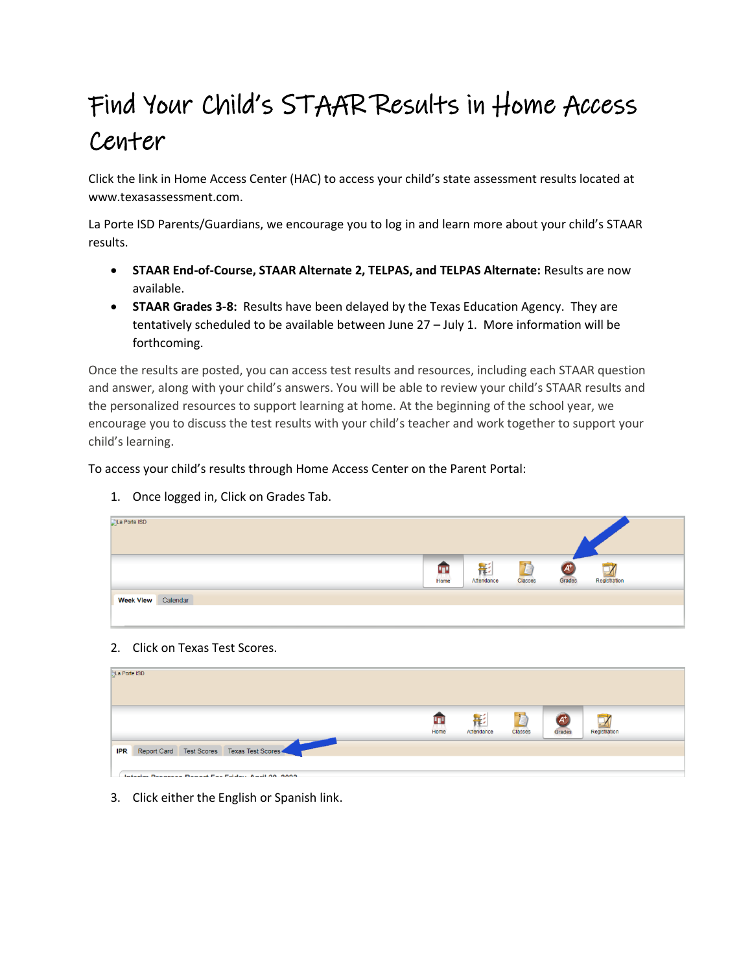## Find Your Child's STAAR Results in Home Access Center

Click the link in Home Access Center (HAC) to access your child's state assessment results located at www.texasassessment.com.

La Porte ISD Parents/Guardians, we encourage you to log in and learn more about your child's STAAR results.

- **STAAR End-of-Course, STAAR Alternate 2, TELPAS, and TELPAS Alternate:** Results are now available.
- **STAAR Grades 3-8:** Results have been delayed by the Texas Education Agency. They are tentatively scheduled to be available between June 27 – July 1. More information will be forthcoming.

Once the results are posted, you can access test results and resources, including each STAAR question and answer, along with your child's answers. You will be able to review your child's STAAR results and the personalized resources to support learning at home. At the beginning of the school year, we encourage you to discuss the test results with your child's teacher and work together to support your child's learning.

To access your child's results through Home Access Center on the Parent Portal:



1. Once logged in, Click on Grades Tab.

2. Click on Texas Test Scores.

| <b>La Porte ISD</b>                                                                                           |           |                 |         |                 |              |  |
|---------------------------------------------------------------------------------------------------------------|-----------|-----------------|---------|-----------------|--------------|--|
|                                                                                                               | Ŧ<br>Home | 影<br>Attendance | Classes | $A^+$<br>Grades | Registration |  |
| Report Card Test Scores Texas Test Scores<br><b>IPR</b><br>Inform Dragrana Donard Car Eriday, Annii 90, 9099. |           |                 |         |                 |              |  |

3. Click either the English or Spanish link.